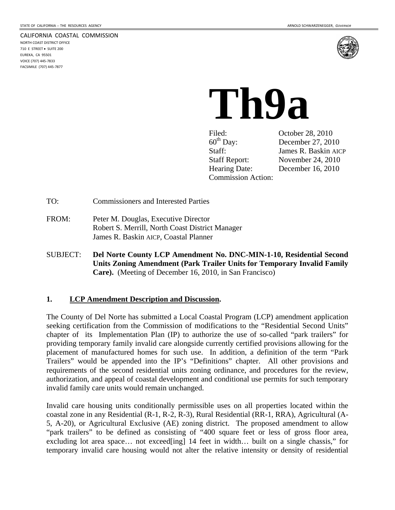#### CALIFORNIA COASTAL COMMISSION

NORTH COAST DISTRICT OFFICE 710 E STREET · SUITE 200 EUREKA, CA 95501 VOICE (707) 445‐7833 FACSIMILE (707) 445‐7877



# **Th9a**

Filed: October 28, 2010<br>60<sup>th</sup> Day: December 27, 201 Staff: James R. Baskin AICP Staff Report: November 24, 2010 Hearing Date: December 16, 2010 Commission Action:

December 27, 2010

TO: Commissioners and Interested Parties

- FROM: Peter M. Douglas, Executive Director Robert S. Merrill, North Coast District Manager James R. Baskin AICP, Coastal Planner
- SUBJECT: **Del Norte County LCP Amendment No. DNC-MIN-1-10, Residential Second Units Zoning Amendment (Park Trailer Units for Temporary Invalid Family Care).** (Meeting of December 16, 2010, in San Francisco)

#### **1. LCP Amendment Description and Discussion.**

The County of Del Norte has submitted a Local Coastal Program (LCP) amendment application seeking certification from the Commission of modifications to the "Residential Second Units" chapter of its Implementation Plan (IP) to authorize the use of so-called "park trailers" for providing temporary family invalid care alongside currently certified provisions allowing for the placement of manufactured homes for such use. In addition, a definition of the term "Park Trailers" would be appended into the IP's "Definitions" chapter. All other provisions and requirements of the second residential units zoning ordinance, and procedures for the review, authorization, and appeal of coastal development and conditional use permits for such temporary invalid family care units would remain unchanged.

Invalid care housing units conditionally permissible uses on all properties located within the coastal zone in any Residential (R-1, R-2, R-3), Rural Residential (RR-1, RRA), Agricultural (A-5, A-20), or Agricultural Exclusive (AE) zoning district. The proposed amendment to allow "park trailers" to be defined as consisting of "400 square feet or less of gross floor area, excluding lot area space... not exceed[ing] 14 feet in width... built on a single chassis," for temporary invalid care housing would not alter the relative intensity or density of residential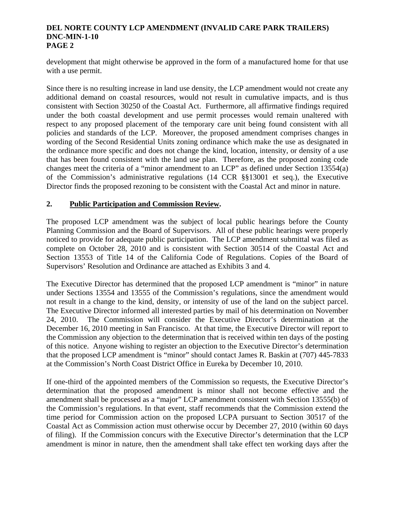## **DEL NORTE COUNTY LCP AMENDMENT (INVALID CARE PARK TRAILERS) DNC-MIN-1-10 PAGE 2**

development that might otherwise be approved in the form of a manufactured home for that use with a use permit.

Since there is no resulting increase in land use density, the LCP amendment would not create any additional demand on coastal resources, would not result in cumulative impacts, and is thus consistent with Section 30250 of the Coastal Act. Furthermore, all affirmative findings required under the both coastal development and use permit processes would remain unaltered with respect to any proposed placement of the temporary care unit being found consistent with all policies and standards of the LCP. Moreover, the proposed amendment comprises changes in wording of the Second Residential Units zoning ordinance which make the use as designated in the ordinance more specific and does not change the kind, location, intensity, or density of a use that has been found consistent with the land use plan. Therefore, as the proposed zoning code changes meet the criteria of a "minor amendment to an LCP" as defined under Section 13554(a) of the Commission's administrative regulations (14 CCR §§13001 et seq.), the Executive Director finds the proposed rezoning to be consistent with the Coastal Act and minor in nature.

# **2. Public Participation and Commission Review.**

The proposed LCP amendment was the subject of local public hearings before the County Planning Commission and the Board of Supervisors. All of these public hearings were properly noticed to provide for adequate public participation. The LCP amendment submittal was filed as complete on October 28, 2010 and is consistent with Section 30514 of the Coastal Act and Section 13553 of Title 14 of the California Code of Regulations. Copies of the Board of Supervisors' Resolution and Ordinance are attached as Exhibits 3 and 4.

The Executive Director has determined that the proposed LCP amendment is "minor" in nature under Sections 13554 and 13555 of the Commission's regulations, since the amendment would not result in a change to the kind, density, or intensity of use of the land on the subject parcel. The Executive Director informed all interested parties by mail of his determination on November 24, 2010. The Commission will consider the Executive Director's determination at the December 16, 2010 meeting in San Francisco. At that time, the Executive Director will report to the Commission any objection to the determination that is received within ten days of the posting of this notice. Anyone wishing to register an objection to the Executive Director's determination that the proposed LCP amendment is "minor" should contact James R. Baskin at (707) 445-7833 at the Commission's North Coast District Office in Eureka by December 10, 2010.

If one-third of the appointed members of the Commission so requests, the Executive Director's determination that the proposed amendment is minor shall not become effective and the amendment shall be processed as a "major" LCP amendment consistent with Section 13555(b) of the Commission's regulations. In that event, staff recommends that the Commission extend the time period for Commission action on the proposed LCPA pursuant to Section 30517 of the Coastal Act as Commission action must otherwise occur by December 27, 2010 (within 60 days of filing). If the Commission concurs with the Executive Director's determination that the LCP amendment is minor in nature, then the amendment shall take effect ten working days after the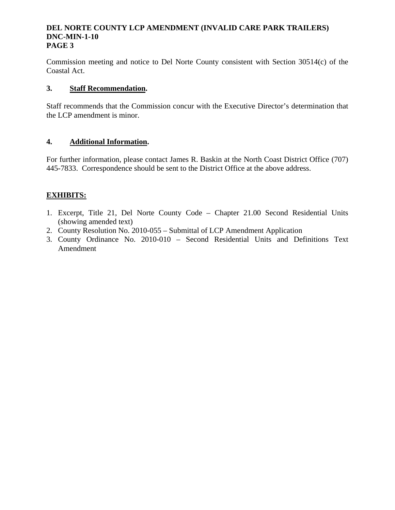### **DEL NORTE COUNTY LCP AMENDMENT (INVALID CARE PARK TRAILERS) DNC-MIN-1-10 PAGE 3**

Commission meeting and notice to Del Norte County consistent with Section 30514(c) of the Coastal Act.

# **3. Staff Recommendation.**

Staff recommends that the Commission concur with the Executive Director's determination that the LCP amendment is minor.

# **4. Additional Information.**

For further information, please contact James R. Baskin at the North Coast District Office (707) 445-7833. Correspondence should be sent to the District Office at the above address.

# **EXHIBITS:**

- 1. Excerpt, Title 21, Del Norte County Code Chapter 21.00 Second Residential Units (showing amended text)
- 2. County Resolution No. 2010-055 Submittal of LCP Amendment Application
- 3. County Ordinance No. 2010-010 Second Residential Units and Definitions Text Amendment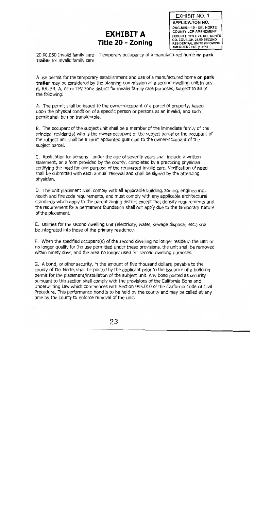# EXHIBIT A Title 20 - Zoning

**EXHIBIT NO. 1 APPLICATION NO.** DNC-MIN-1-10 - DEL NORTE COUNTY LCP AMENDMENT EXCERPT, TITLE 21, DEL NORTE CO. CODE-CH. 21.00 SECOND **RESIDENTIAL UNITS (SHOWING** AMENDED TEXT (1 of 4)

20.00.050 Invalid family care  $-$  Temporary occupancy of a manufactured home or park trailer for invalid family care

A use permit for the temporary establishment and use of a manufactured home or park trailer may be considered by the planning commission as a second dwelling unit in any R, RR, FR, A, AE or TPZ zone district for invalid family care purposes, subject to all of the following:

A. The permit shall be issued to the owner-occupant of a parcel of property, based upon the physical condition of a specific person or persons as an invalid, and such permit shall be non transferable.

B. The occupant of the subject unit shall be a member of the immediate family of the principal resident(s) who is the owner-occupant of the subject parcel or the occupant of the subject unit shall be a court appointed guardian to the owner-occupant of the subject parcel.

C. Application for persons under the age of seventy years shall include a written statement, on a form provided by the county, completed by a practicing physician certifying the need for and purpose of the requested invalid care. Verification of need shall be submitted with each annual renewal and shall be signed by the attending physician.

D. The unit placement shall comply with all applicable building, zoning, engineering, health and fire code requirements, and must comply with any applicable architectural standards which apply to the parent zoning district except that density requirements and the requirement for a permanent foundation shall not apply due to the temporary nature of the placement.

E. Utilities for the second dwelling unit (electricity, water, sewage disposal, etc.) shall be integrated into those of the primary residence.

F. When the specified occupant(s) of the second dwelling no longer reside in the unit or no longer qualify for the use permitted under these provisions, the unit shall be removed within ninety days, and the area no longer used for second dwelling purposes.

G. A bond, or other security, in the amount of five thousand dollars, payable to the county of Del Norte, shall be posted by the applicant prior to the issuance of a building permit for the placement/installation of the subject unit. Any bond posted as security pursuant to this section shall comply with the provisions of the California Bond and Underwriting Law which commences with Section 995.010 of the California Code of Civil Procedure. This performance bond is to be held by the county and may be called at any time by the county to enforce removal of the unit.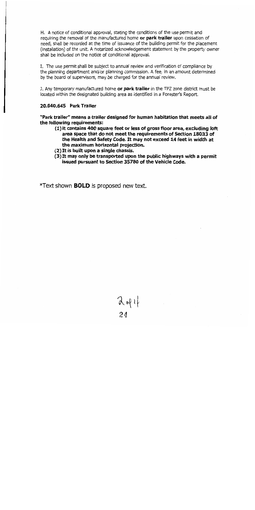H. A notice of conditional approval, stating the conditions of the use permit and requiring the removal of the manufactured home or park trailer upon cessation of need, shall be recorded at the time of issuance of the building permit for the placement (installation) of the unit. A notarized acknowledgement statement by the property owner shall be included on the notice of conditional approval.

I. The use permit shall be subject to annual review and verification of compliance by the planning department and/or planning commission. A fee, in an amount determined by the board of supervisors, may be charged for the annual review.

J. Any temporary manufactured home or park trailer in the TPZ zone district must be located within the designated building area as identified in a Forester's Report.

#### 20.040.645 Park Trailer

"Park trailer" means a trailer designed for human habitation that meets all of the following requirements:

- (1) it contains 400 square feet or less of gross floor area, excluding loft area space that do not meet the requirements of Section 18033 of the Health and Safety Code. It may not exceed 14 feet in width at the maximum horizontal projection.
- (2) It is built upon a single chassis.
- (3) It may only be transported upon the public highways with a permit issued pursuant to Section 35780 of the Vehicle Code.

*\*Text shown BOLD* is proposed new text.

 $\lambda$  of  $1$  $24$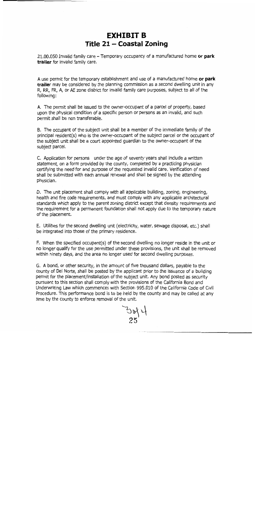# **EXHIBIT B** Title 21 - Coastal Zoning

21.00.050 Invalid family care - Temporary occupancy of a manufactured home or park trailer for invalid family care.

A use permit for the temporary establishment and use of a manufactured home or park trailer may be considered by the planning commission as a second dwelling unit in any R. RR. FR. A, or AE zone district for invalid family care purposes, subject to all of the following:

A. The permit shall be issued to the owner-occupant of a parcel of property, based upon the physical condition of a specific person or persons as an invalid, and such permit shall be non transferable.

B. The occupant of the subject unit shall be a member of the immediate family of the principal resident(s) who is the owner-occupant of the subject parcel or the occupant of the subject unit shall be a court appointed quardian to the owner-occupant of the subject parcel.

C. Application for persons under the age of seventy years shall include a written statement, on a form provided by the county, completed by a practicing physician certifying the need for and purpose of the requested invalid care. Verification of need shall be submitted with each annual renewal and shall be signed by the attending physician.

D. The unit placement shall comply with all applicable building, zoning, engineering, health and fire code requirements, and must comply with any applicable architectural standards which apply to the parent zoning district except that density requirements and the requirement for a permanent foundation shall not apply due to the temporary nature of the placement.

E. Utilities for the second dwelling unit (electricity, water, sewage disposal, etc.) shall be integrated into those of the primary residence.

F. When the specified occupant(s) of the second dwelling no longer reside in the unit or no longer qualify for the use permitted under these provisions, the unit shall be removed within ninety days, and the area no longer used for second dwelling purposes.

G. A bond, or other security, in the amount of five thousand dollars, payable to the county of Del Norte, shall be posted by the applicant prior to the issuance of a building permit for the placement/installation of the subject unit. Any bond posted as security pursuant to this section shall comply with the provisions of the California Bond and Underwriting Law which commences with Section 995.010 of the California Code of Civil Procedure. This performance bond is to be held by the county and may be called at any time by the county to enforce removal of the unit.

 $\frac{7}{25}$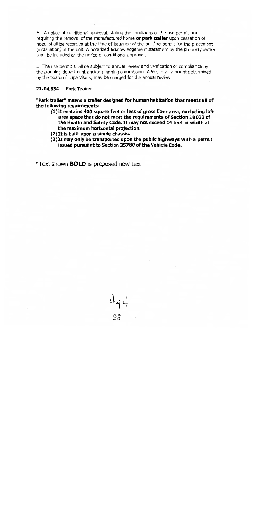H. A notice of conditional approval, stating the conditions of the use permit and requiring the removal of the manufactured home or park trailer upon cessation of need, shall be recorded at the time of issuance of the building permit for the placement (installation) of the unit. A notarized acknowledgement statement by the property owner shall be included on the notice of conditional approval.

I. The use permit shall be subject to annual review and verification of compliance by the planning department and/or planning commission. A fee, in an amount determined by the board of supervisors, may be charged for the annual review.

#### 21.04.634 Park Trailer

"Park trailer" means a trailer designed for human habitation that meets all of the following requirements:

- (1) it contains 400 square feet or less of gross floor area, excluding loft area space that do not meet the requirements of Section 18033 of the Health and Safety Code. It may not exceed 14 feet in width at the maximum horizontal projection.
- (2) It is built upon a single chassis.
- $(3)$  It may only be transported upon the public highways with a permit issued pursuant to Section 35780 of the Vehicle Code.

\*Text shown **BOLD** is proposed new text.

494  $26$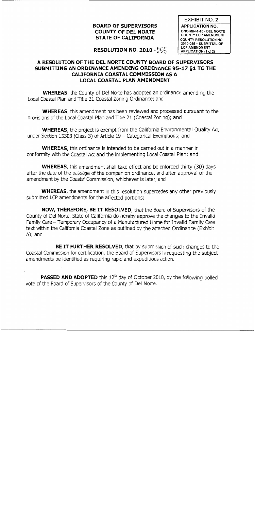# **BOARD OF SUPERVISORS COUNTY OF DEL NORTE STATE OF CALIFORNIA**

**EXHIBIT NO. 2 APPLICATION NO.** DNC-MIN-1-10 - DEL NORTE **COUNTY LCP AMENDMENT COUNTY RESOLUTION NO.** 2010-055 - SUBMITTAL OF **LCP AMENDMENT** APPLICATION (1 of 2)

# RESOLUTION NO. 2010 -  $155$

# A RESOLUTION OF THE DEL NORTE COUNTY BOARD OF SUPERVISORS SUBMITTING AN ORDINANCE AMENDING ORDINANCE 95-17 &1 TO THE **CALIFORNIA COASTAL COMMISSION AS A LOCAL COASTAL PLAN AMENDMENT**

**WHEREAS**, the County of Del Norte has adopted an ordinance amending the Local Coastal Plan and Title 21 Coastal Zoning Ordinance; and

**WHEREAS**, this amendment has been reviewed and processed pursuant to the provisions of the Local Coastal Plan and Title 21 (Coastal Zoning); and

**WHEREAS**, the project is exempt from the California Environmental Quality Act under Section 15303 (Class 3) of Article 19 - Categorical Exemptions; and

**WHEREAS**, this ordinance is intended to be carried out in a manner in conformity with the Coastal Act and the implementing Local Coastal Plan; and

**WHEREAS**, this amendment shall take effect and be enforced thirty (30) days after the date of the passage of the companion ordinance, and after approval of the amendment by the Coastal Commission, whichever is later; and

**WHEREAS**, the amendment in this resolution supercedes any other previously submitted LCP amendments for the affected portions;

NOW, THEREFORE, BE IT RESOLVED, that the Board of Supervisors of the County of Del Norte, State of California do hereby approve the changes to the Invalid Family Care - Temporary Occupancy of a Manufactured Home for Invalid Family Care text within the California Coastal Zone as outlined by the attached Ordinance (Exhibit  $A)$ ; and

BE IT FURTHER RESOLVED, that by submission of such changes to the Coastal Commission for certification, the Board of Supervisors is requesting the subject amendments be identified as requiring rapid and expeditious action.

**PASSED AND ADOPTED** this 12<sup>th</sup> day of October 2010, by the following polled vote of the Board of Supervisors of the County of Del Norte.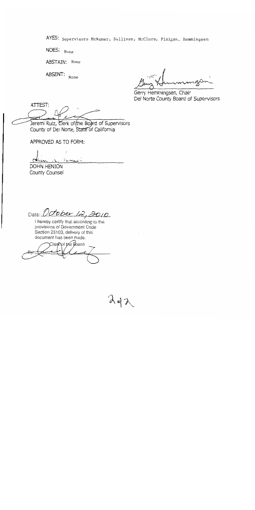AYES: Supervisors McNamer, Sullivan, McClure, Finigan, Hemmingsen

 $\lambda$ da

NOES: None

ABSTAIN: None

ABSENT: None

Gerry Hemmingsen, Chair Del Norte County Board of Supervisors

ATTEST:

Jeremi Ruiz, Clerk of (the Board of Supervisors County of Del Norte, State of California

APPROVED AS TO FORM:

**DOHN HENION** County Counsel

Date: October 12, 2010

I hereby certify that according to the provisions of Government Code Section 25103, delivery of this document has been made.

Clerk of the Board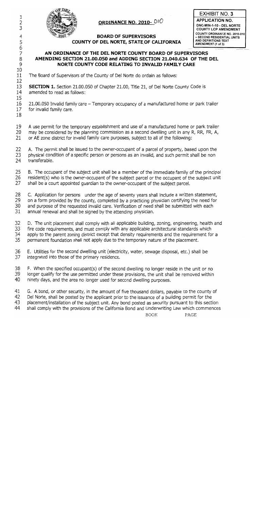

# ORDINANCE NO. 2010- 010

# **BOARD OF SUPERVISORS** COUNTY OF DEL NORTE, STATE OF CALIFORNIA



# AN ORDINANCE OF THE DEL NORTE COUNTY BOARD OF SUPERVISORS AMENDING SECTION 21.00.050 and ADDING SECTION 21.040.634 OF THE DEL NORTE COUNTY CODE RELATING TO INVALID FAMILY CARE

11 The Board of Supervisors of the County of Del Norte do ordain as follows: 12

13 **SECTION 1.** Section 21.00.050 of Chapter 21.00, Title 21, of Del Norte County Code is  $14$ amended to read as follows:

16 21.00.050 Invalid family care – Temporary occupancy of a manufactured home or park trailer  $17 \,$ for invalid family care.

18

15

 $1\,$ 

 $\overline{2}$ 

3

4

5

 $\sqrt{6}$  $\overline{7}$ 

8

9

10

19 A use permit for the temporary establishment and use of a manufactured home or park trailer 20 may be considered by the planning commission as a second dwelling unit in any R, RR, FR, A,

21 or AE zone district for invalid family care purposes, subject to all of the following:

22 A. The permit shall be issued to the owner-occupant of a parcel of property, based upon the 23 physical condition of a specific person or persons as an invalid, and such permit shall be non 24 transferable.

25 B. The occupant of the subject unit shall be a member of the immediate family of the principal 26 resident(s) who is the owner-occupant of the subject parcel or the occupant of the subject unit

27 shall be a court appointed guardian to the owner-occupant of the subject parcel.

28 C. Application for persons under the age of seventy years shall include a written statement,

29 on a form provided by the county, completed by a practicing physician certifying the need for

and purpose of the requested invalid care. Verification of need shall be submitted with each 30

31 annual renewal and shall be signed by the attending physician.

 $32<sup>2</sup>$ D. The unit placement shall comply with all applicable building, zoning, engineering, health and 33 fire code requirements, and must comply with any applicable architectural standards which 34 apply to the parent zoning district except that density requirements and the requirement for a 35 permanent foundation shall not apply due to the temporary nature of the placement.

36 E. Utilities for the second dwelling unit (electricity, water, sewage disposal, etc.) shall be 37 integrated into those of the primary residence.

38 F. When the specified occupant(s) of the second dwelling no longer reside in the unit or no 39 longer qualify for the use permitted under these provisions, the unit shall be removed within 40 ninety days, and the area no longer used for second dwelling purposes.

41 G. A bond, or other security, in the amount of five thousand dollars, payable to the county of

42 Del Norte, shall be posted by the applicant prior to the issuance of a building permit for the

43 placement/installation of the subject unit. Any bond posted as security pursuant to this section 44

shall comply with the provisions of the California Bond and Underwriting Law which commences

PAGE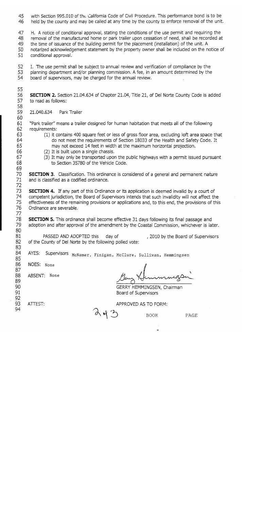45 with Section 995.010 of the California Code of Civil Procedure. This performance bond is to be 46 held by the county and may be called at any time by the county to enforce removal of the unit.

47 H. A notice of conditional approval, stating the conditions of the use permit and requiring the 48 removal of the manufactured home or park trailer upon cessation of need, shall be recorded at 49 the time of issuance of the building permit for the placement (installation) of the unit. A notarized acknowledgement statement by the property owner shall be included on the notice of 50 51 conditional approval.

52 I. The use permit shall be subject to annual review and verification of compliance by the 53 planning department and/or planning commission. A fee, in an amount determined by the 54 board of supervisors, may be charged for the annual review.

56 **SECTION 2.** Section 21.04.634 of Chapter 21.04, Title 21, of Del Norte County Code is added 57 to read as follows:

59 21.040.634 Park Trailer

55

58

60

63.

64

65

66

67

68

69 70

71

72

87 88

89 90

91 92 93

94

61 "Park trailer" means a trailer designed for human habitation that meets all of the following 62 requirements:

- (1) it contains 400 square feet or less of gross floor area, excluding loft area space that do not meet the requirements of Section 18033 of the Health and Safety Code. It may not exceed 14 feet in width at the maximum horizontal projection.
- (2) It is built upon a single chassis.
- (3) It may only be transported upon the public highways with a permit issued pursuant to Section 35780 of the Vehicle Code.

**SECTION 3.** Classification. This ordinance is considered of a general and permanent nature and is classified as a codified ordinance.

73. **SECTION 4.** If any part of this Ordinance or its application is deemed invalid by a court of 74 competent jurisdiction, the Board of Supervisors intends that such invalidity will not affect the 75 effectiveness of the remaining provisions or applications and, to this end, the provisions of this 76 Ordinance are severable. 77

78 **SECTION 5.** This ordinance shall become effective 31 days following its final passage and 79 adoption and after approval of the amendment by the Coastal Commission, whichever is later. 80

81 PASSED AND ADOPTED this day of , 2010 by the Board of Supervisors 82 of the County of Del Norte by the following polled vote: 83

84 Supervisors McNamer, Finigan, McClure, Sullivan, Hemmingsen AYES: 85

86 NOES: None

ATTEST:

ABSENT: None

immagan

GERRY HEMMINGSEN, Chairman Board of Supervisors

**BOOK** 

APPROVED AS TO FORM:

PAGE